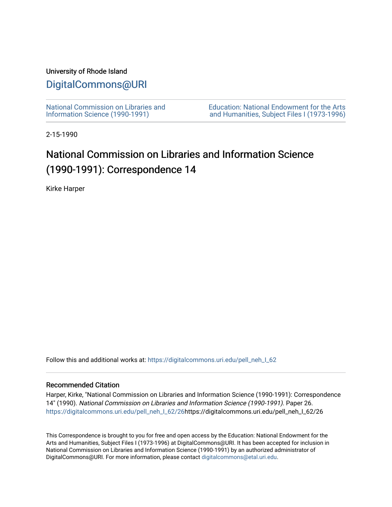## University of Rhode Island

## [DigitalCommons@URI](https://digitalcommons.uri.edu/)

[National Commission on Libraries and](https://digitalcommons.uri.edu/pell_neh_I_62) [Information Science \(1990-1991\)](https://digitalcommons.uri.edu/pell_neh_I_62) 

[Education: National Endowment for the Arts](https://digitalcommons.uri.edu/pell_neh_I)  [and Humanities, Subject Files I \(1973-1996\)](https://digitalcommons.uri.edu/pell_neh_I) 

2-15-1990

## National Commission on Libraries and Information Science (1990-1991): Correspondence 14

Kirke Harper

Follow this and additional works at: https://digitalcommons.uri.edu/pell\_neh\_I\_62

## Recommended Citation

Harper, Kirke, "National Commission on Libraries and Information Science (1990-1991): Correspondence 14" (1990). National Commission on Libraries and Information Science (1990-1991). Paper 26. [https://digitalcommons.uri.edu/pell\\_neh\\_I\\_62/26h](https://digitalcommons.uri.edu/pell_neh_I_62/26?utm_source=digitalcommons.uri.edu%2Fpell_neh_I_62%2F26&utm_medium=PDF&utm_campaign=PDFCoverPages)ttps://digitalcommons.uri.edu/pell\_neh\_I\_62/26

This Correspondence is brought to you for free and open access by the Education: National Endowment for the Arts and Humanities, Subject Files I (1973-1996) at DigitalCommons@URI. It has been accepted for inclusion in National Commission on Libraries and Information Science (1990-1991) by an authorized administrator of DigitalCommons@URI. For more information, please contact [digitalcommons@etal.uri.edu.](mailto:digitalcommons@etal.uri.edu)